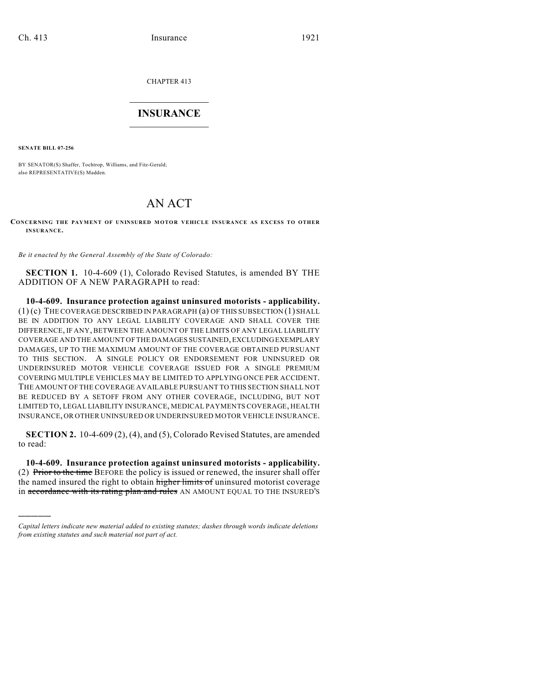CHAPTER 413

## $\mathcal{L}_\text{max}$  . The set of the set of the set of the set of the set of the set of the set of the set of the set of the set of the set of the set of the set of the set of the set of the set of the set of the set of the set **INSURANCE**  $\frac{1}{2}$  ,  $\frac{1}{2}$  ,  $\frac{1}{2}$  ,  $\frac{1}{2}$  ,  $\frac{1}{2}$  ,  $\frac{1}{2}$  ,  $\frac{1}{2}$

**SENATE BILL 07-256**

)))))

BY SENATOR(S) Shaffer, Tochtrop, Williams, and Fitz-Gerald; also REPRESENTATIVE(S) Madden.

## AN ACT

## **CONCERNING THE PAYMENT OF UNINSURED M OTOR VEHICLE INSURANCE AS EXCESS TO OTHER INSURANCE.**

*Be it enacted by the General Assembly of the State of Colorado:*

**SECTION 1.** 10-4-609 (1), Colorado Revised Statutes, is amended BY THE ADDITION OF A NEW PARAGRAPH to read:

**10-4-609. Insurance protection against uninsured motorists - applicability.** (1) (c) THE COVERAGE DESCRIBED IN PARAGRAPH (a) OF THIS SUBSECTION (1) SHALL BE IN ADDITION TO ANY LEGAL LIABILITY COVERAGE AND SHALL COVER THE DIFFERENCE, IF ANY, BETWEEN THE AMOUNT OF THE LIMITS OF ANY LEGAL LIABILITY COVERAGE AND THE AMOUNT OF THE DAMAGES SUSTAINED, EXCLUDING EXEMPLARY DAMAGES, UP TO THE MAXIMUM AMOUNT OF THE COVERAGE OBTAINED PURSUANT TO THIS SECTION. A SINGLE POLICY OR ENDORSEMENT FOR UNINSURED OR UNDERINSURED MOTOR VEHICLE COVERAGE ISSUED FOR A SINGLE PREMIUM COVERING MULTIPLE VEHICLES MAY BE LIMITED TO APPLYING ONCE PER ACCIDENT. THE AMOUNT OF THE COVERAGE AVAILABLE PURSUANT TO THIS SECTION SHALL NOT BE REDUCED BY A SETOFF FROM ANY OTHER COVERAGE, INCLUDING, BUT NOT LIMITED TO, LEGAL LIABILITY INSURANCE, MEDICAL PAYMENTS COVERAGE, HEALTH INSURANCE, OR OTHER UNINSURED OR UNDERINSURED MOTOR VEHICLE INSURANCE.

**SECTION 2.** 10-4-609 (2), (4), and (5), Colorado Revised Statutes, are amended to read:

**10-4-609. Insurance protection against uninsured motorists - applicability.** (2) Prior to the time BEFORE the policy is issued or renewed, the insurer shall offer the named insured the right to obtain higher limits of uninsured motorist coverage in accordance with its rating plan and rules AN AMOUNT EQUAL TO THE INSURED'S

*Capital letters indicate new material added to existing statutes; dashes through words indicate deletions from existing statutes and such material not part of act.*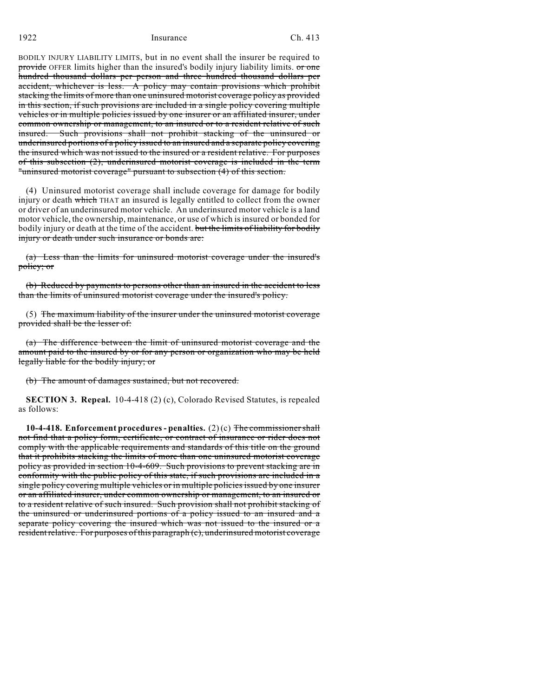1922 Insurance Ch. 413

BODILY INJURY LIABILITY LIMITS, but in no event shall the insurer be required to provide OFFER limits higher than the insured's bodily injury liability limits. or one hundred thousand dollars per person and three hundred thousand dollars per accident, whichever is less. A policy may contain provisions which prohibit stacking the limits of more than one uninsured motorist coverage policy as provided in this section, if such provisions are included in a single policy covering multiple vehicles or in multiple policies issued by one insurer or an affiliated insurer, under common ownership or management, to an insured or to a resident relative of such insured. Such provisions shall not prohibit stacking of the uninsured or underinsured portions of a policy issued to an insured and a separate policy covering the insured which was not issued to the insured or a resident relative. For purposes of this subsection (2), underinsured motorist coverage is included in the term "uninsured motorist coverage" pursuant to subsection (4) of this section.

(4) Uninsured motorist coverage shall include coverage for damage for bodily injury or death which THAT an insured is legally entitled to collect from the owner or driver of an underinsured motor vehicle. An underinsured motor vehicle is a land motor vehicle, the ownership, maintenance, or use of which is insured or bonded for bodily injury or death at the time of the accident. but the limits of liability for bodily injury or death under such insurance or bonds are:

(a) Less than the limits for uninsured motorist coverage under the insured's policy; or

(b) Reduced by payments to persons other than an insured in the accident to less than the limits of uninsured motorist coverage under the insured's policy.

(5) The maximum liability of the insurer under the uninsured motorist coverage provided shall be the lesser of:

(a) The difference between the limit of uninsured motorist coverage and the amount paid to the insured by or for any person or organization who may be held legally liable for the bodily injury; or

(b) The amount of damages sustained, but not recovered.

**SECTION 3. Repeal.** 10-4-418 (2) (c), Colorado Revised Statutes, is repealed as follows:

**10-4-418. Enforcement procedures - penalties.** (2) (c) The commissioner shall not find that a policy form, certificate, or contract of insurance or rider does not comply with the applicable requirements and standards of this title on the ground that it prohibits stacking the limits of more than one uninsured motorist coverage policy as provided in section 10-4-609. Such provisions to prevent stacking are in conformity with the public policy of this state, if such provisions are included in a single policy covering multiple vehicles or in multiple policies issued by one insurer or an affiliated insurer, under common ownership or management, to an insured or to a resident relative of such insured. Such provision shall not prohibit stacking of the uninsured or underinsured portions of a policy issued to an insured and a separate policy covering the insured which was not issued to the insured or a resident relative. For purposes of this paragraph (c), underinsured motorist coverage